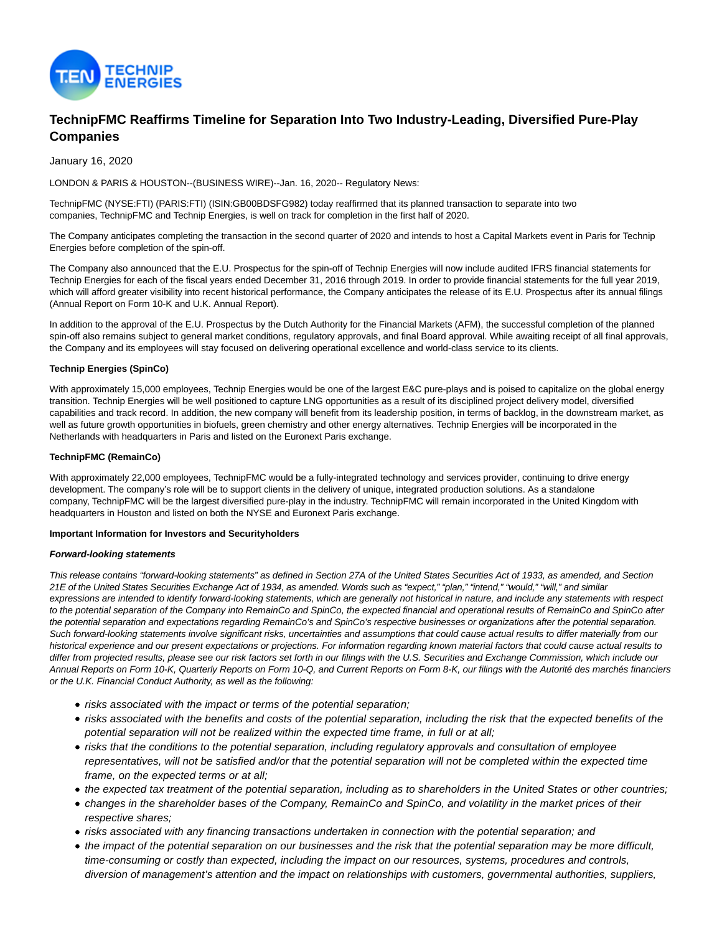

# **TechnipFMC Reaffirms Timeline for Separation Into Two Industry-Leading, Diversified Pure-Play Companies**

January 16, 2020

LONDON & PARIS & HOUSTON--(BUSINESS WIRE)--Jan. 16, 2020-- Regulatory News:

TechnipFMC (NYSE:FTI) (PARIS:FTI) (ISIN:GB00BDSFG982) today reaffirmed that its planned transaction to separate into two companies, TechnipFMC and Technip Energies, is well on track for completion in the first half of 2020.

The Company anticipates completing the transaction in the second quarter of 2020 and intends to host a Capital Markets event in Paris for Technip Energies before completion of the spin-off.

The Company also announced that the E.U. Prospectus for the spin-off of Technip Energies will now include audited IFRS financial statements for Technip Energies for each of the fiscal years ended December 31, 2016 through 2019. In order to provide financial statements for the full year 2019, which will afford greater visibility into recent historical performance, the Company anticipates the release of its E.U. Prospectus after its annual filings (Annual Report on Form 10-K and U.K. Annual Report).

In addition to the approval of the E.U. Prospectus by the Dutch Authority for the Financial Markets (AFM), the successful completion of the planned spin-off also remains subject to general market conditions, regulatory approvals, and final Board approval. While awaiting receipt of all final approvals, the Company and its employees will stay focused on delivering operational excellence and world-class service to its clients.

# **Technip Energies (SpinCo)**

With approximately 15,000 employees, Technip Energies would be one of the largest E&C pure-plays and is poised to capitalize on the global energy transition. Technip Energies will be well positioned to capture LNG opportunities as a result of its disciplined project delivery model, diversified capabilities and track record. In addition, the new company will benefit from its leadership position, in terms of backlog, in the downstream market, as well as future growth opportunities in biofuels, green chemistry and other energy alternatives. Technip Energies will be incorporated in the Netherlands with headquarters in Paris and listed on the Euronext Paris exchange.

## **TechnipFMC (RemainCo)**

With approximately 22,000 employees, TechnipFMC would be a fully-integrated technology and services provider, continuing to drive energy development. The company's role will be to support clients in the delivery of unique, integrated production solutions. As a standalone company, TechnipFMC will be the largest diversified pure-play in the industry. TechnipFMC will remain incorporated in the United Kingdom with headquarters in Houston and listed on both the NYSE and Euronext Paris exchange.

#### **Important Information for Investors and Securityholders**

#### **Forward-looking statements**

This release contains "forward-looking statements" as defined in Section 27A of the United States Securities Act of 1933, as amended, and Section 21E of the United States Securities Exchange Act of 1934, as amended. Words such as "expect," "plan," "intend," "would," "will," and similar expressions are intended to identify forward-looking statements, which are generally not historical in nature, and include any statements with respect to the potential separation of the Company into RemainCo and SpinCo, the expected financial and operational results of RemainCo and SpinCo after the potential separation and expectations regarding RemainCo's and SpinCo's respective businesses or organizations after the potential separation. Such forward-looking statements involve significant risks, uncertainties and assumptions that could cause actual results to differ materially from our historical experience and our present expectations or projections. For information regarding known material factors that could cause actual results to differ from projected results, please see our risk factors set forth in our filings with the U.S. Securities and Exchange Commission, which include our Annual Reports on Form 10-K, Quarterly Reports on Form 10-Q, and Current Reports on Form 8-K, our filings with the Autorité des marchés financiers or the U.K. Financial Conduct Authority, as well as the following:

- risks associated with the impact or terms of the potential separation;
- risks associated with the benefits and costs of the potential separation, including the risk that the expected benefits of the potential separation will not be realized within the expected time frame, in full or at all;
- risks that the conditions to the potential separation, including regulatory approvals and consultation of employee representatives, will not be satisfied and/or that the potential separation will not be completed within the expected time frame, on the expected terms or at all;
- the expected tax treatment of the potential separation, including as to shareholders in the United States or other countries;
- changes in the shareholder bases of the Company, RemainCo and SpinCo, and volatility in the market prices of their respective shares;
- risks associated with any financing transactions undertaken in connection with the potential separation; and
- the impact of the potential separation on our businesses and the risk that the potential separation may be more difficult, time-consuming or costly than expected, including the impact on our resources, systems, procedures and controls, diversion of management's attention and the impact on relationships with customers, governmental authorities, suppliers,